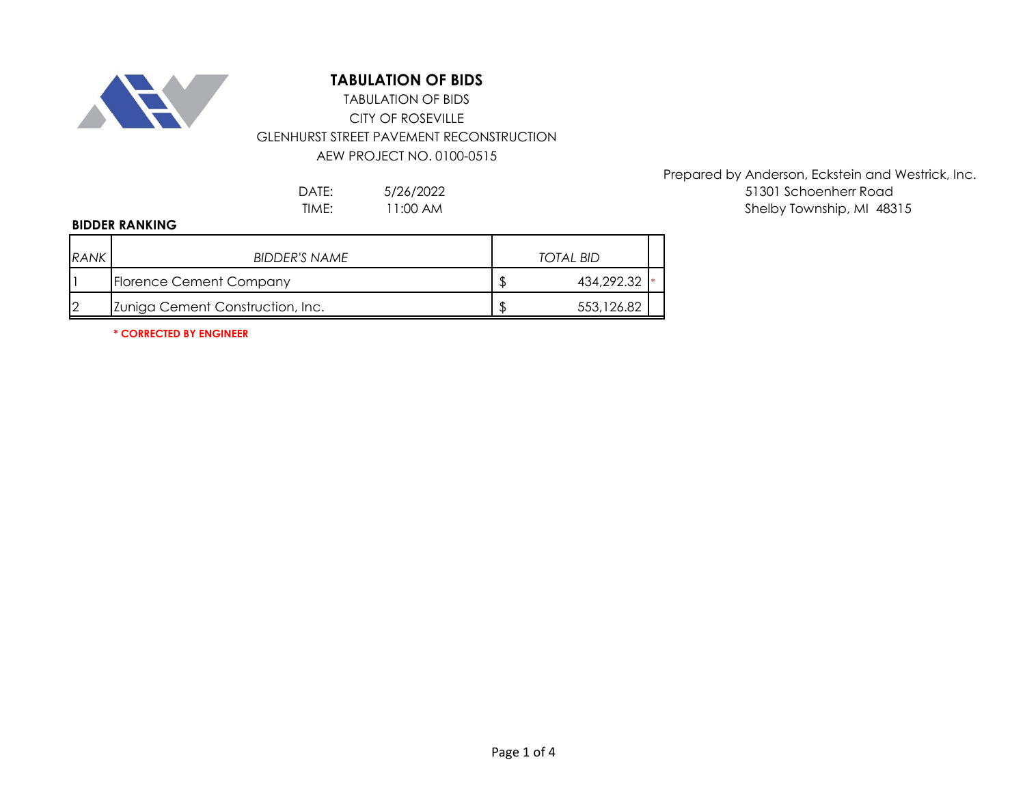

# **TABULATION OF BIDS**

## CITY OF ROSEVILLE GLENHURST STREET PAVEMENT RECONSTRUCTION AEW PROJECT NO. 0100-0515 TABULATION OF BIDS

5/26/2022 11:00 AM

### **BIDDER RANKING**

| <b>RANK</b> | BIDDER'S NAME                    | <b>TOTAL BID</b> |
|-------------|----------------------------------|------------------|
|             | Florence Cement Company          | 434,292.32       |
| 12          | Zuniga Cement Construction, Inc. | 553,126.82       |

**\* CORRECTED BY ENGINEER**

Prepared by Anderson, Eckstein and Westrick, Inc. DATE: 5/26/2022 51301 Schoenherr Road TIME: 11:00 AM and the state of the shelby Township, MI 48315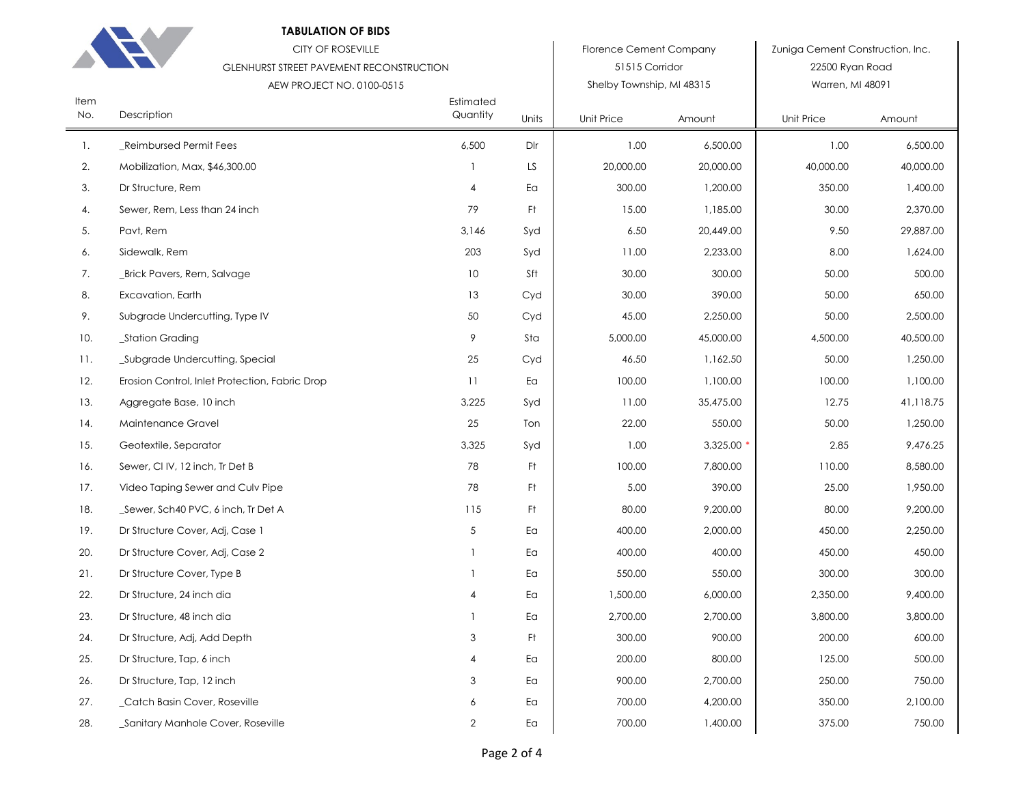| . . |  |
|-----|--|

### **TABULATION OF BIDS**

|             | <b>CITY OF ROSEVILLE</b><br><b>GLENHURST STREET PAVEMENT RECONSTRUCTION</b><br>AEW PROJECT NO. 0100-0515 |                       |       | <b>Florence Cement Company</b><br>51515 Corridor<br>Shelby Township, MI 48315 |           | Zuniga Cement Construction, Inc.<br>22500 Ryan Road<br>Warren, MI 48091 |           |
|-------------|----------------------------------------------------------------------------------------------------------|-----------------------|-------|-------------------------------------------------------------------------------|-----------|-------------------------------------------------------------------------|-----------|
| Item<br>No. | Description                                                                                              | Estimated<br>Quantity | Units | <b>Unit Price</b>                                                             | Amount    | Unit Price                                                              | Amount    |
| 1.          | Reimbursed Permit Fees                                                                                   | 6,500                 | Dlr   | 1.00                                                                          | 6,500.00  | 1.00                                                                    | 6,500.00  |
| 2.          | Mobilization, Max, \$46,300.00                                                                           | -1                    | LS    | 20,000.00                                                                     | 20,000.00 | 40,000.00                                                               | 40,000.00 |
| 3.          | Dr Structure, Rem                                                                                        | 4                     | Ea    | 300.00                                                                        | 1,200.00  | 350.00                                                                  | 1,400.00  |
| 4.          | Sewer, Rem, Less than 24 inch                                                                            | 79                    | Ft    | 15.00                                                                         | 1,185.00  | 30.00                                                                   | 2,370.00  |
| 5.          | Pavt, Rem                                                                                                | 3,146                 | Syd   | 6.50                                                                          | 20,449.00 | 9.50                                                                    | 29,887.00 |
| 6.          | Sidewalk, Rem                                                                                            | 203                   | Syd   | 11.00                                                                         | 2,233.00  | 8.00                                                                    | 1,624.00  |
| 7.          | _Brick Pavers, Rem, Salvage                                                                              | 10                    | Sft   | 30.00                                                                         | 300.00    | 50.00                                                                   | 500.00    |
| 8.          | Excavation, Earth                                                                                        | 13                    | Cyd   | 30.00                                                                         | 390.00    | 50.00                                                                   | 650.00    |
| 9.          | Subgrade Undercutting, Type IV                                                                           | 50                    | Cyd   | 45.00                                                                         | 2,250.00  | 50.00                                                                   | 2,500.00  |
| 10.         | _Station Grading                                                                                         | 9                     | Sta   | 5,000.00                                                                      | 45,000.00 | 4,500.00                                                                | 40,500.00 |
| 11.         | Subgrade Undercutting, Special                                                                           | 25                    | Cyd   | 46.50                                                                         | 1,162.50  | 50.00                                                                   | 1,250.00  |
| 12.         | Erosion Control, Inlet Protection, Fabric Drop                                                           | 11                    | Ea    | 100.00                                                                        | 1,100.00  | 100.00                                                                  | 1,100.00  |
| 13.         | Aggregate Base, 10 inch                                                                                  | 3,225                 | Syd   | 11.00                                                                         | 35,475.00 | 12.75                                                                   | 41,118.75 |
| 14.         | Maintenance Gravel                                                                                       | 25                    | Ton   | 22.00                                                                         | 550.00    | 50.00                                                                   | 1,250.00  |
| 15.         | Geotextile, Separator                                                                                    | 3,325                 | Syd   | 1.00                                                                          | 3,325.00  | 2.85                                                                    | 9,476.25  |
| 16.         | Sewer, CI IV, 12 inch, Tr Det B                                                                          | 78                    | Ft    | 100.00                                                                        | 7,800.00  | 110.00                                                                  | 8,580.00  |
| 17.         | Video Taping Sewer and Culv Pipe                                                                         | 78                    | Ft    | 5.00                                                                          | 390.00    | 25.00                                                                   | 1,950.00  |
| 18.         | _Sewer, Sch40 PVC, 6 inch, Tr Det A                                                                      | 115                   | Ft    | 80.00                                                                         | 9,200.00  | 80.00                                                                   | 9,200.00  |
| 19.         | Dr Structure Cover, Adj, Case 1                                                                          | 5                     | Ea    | 400.00                                                                        | 2,000.00  | 450.00                                                                  | 2,250.00  |
| 20.         | Dr Structure Cover, Adj, Case 2                                                                          | 1                     | Ea    | 400.00                                                                        | 400.00    | 450.00                                                                  | 450.00    |
| 21.         | Dr Structure Cover, Type B                                                                               | 1                     | Ea    | 550.00                                                                        | 550.00    | 300.00                                                                  | 300.00    |
| 22.         | Dr Structure, 24 inch dia                                                                                | 4                     | Ea    | 1,500.00                                                                      | 6,000.00  | 2,350.00                                                                | 9,400.00  |
| 23.         | Dr Structure, 48 inch dia                                                                                | 1                     | Ea    | 2,700.00                                                                      | 2,700.00  | 3,800.00                                                                | 3,800.00  |
| 24.         | Dr Structure, Adj, Add Depth                                                                             | 3                     | Ft    | 300.00                                                                        | 900.00    | 200.00                                                                  | 600.00    |
| 25.         | Dr Structure, Tap, 6 inch                                                                                | 4                     | Ea    | 200.00                                                                        | 800.00    | 125.00                                                                  | 500.00    |
| 26.         | Dr Structure, Tap, 12 inch                                                                               | 3                     | Ea    | 900.00                                                                        | 2,700.00  | 250.00                                                                  | 750.00    |
| 27.         | _Catch Basin Cover, Roseville                                                                            | 6                     | Ea    | 700.00                                                                        | 4,200.00  | 350.00                                                                  | 2,100.00  |
| 28.         | _Sanitary Manhole Cover, Roseville                                                                       | $\overline{c}$        | Ea    | 700.00                                                                        | 1,400.00  | 375.00                                                                  | 750.00    |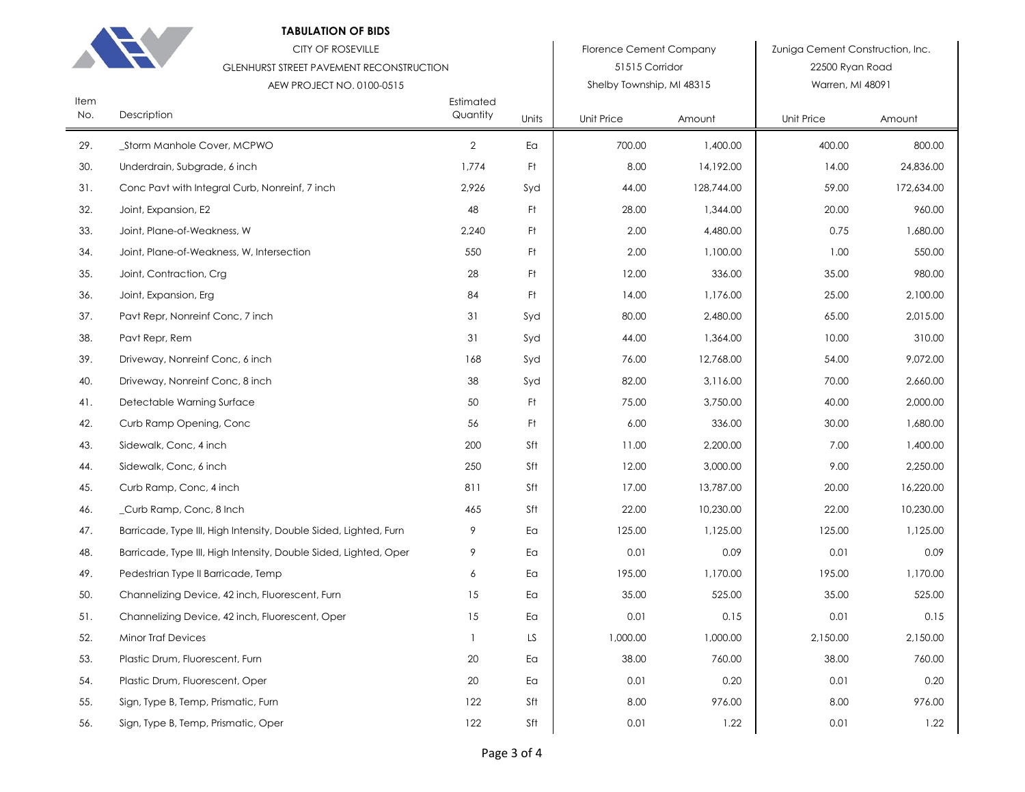#### **TABULATION OF BIDS**

|             | <b>CITY OF ROSEVILLE</b><br><b>GLENHURST STREET PAVEMENT RECONSTRUCTION</b><br>AEW PROJECT NO. 0100-0515 |                       |       | <b>Florence Cement Company</b><br>51515 Corridor<br>Shelby Township, MI 48315 |            | Zuniga Cement Construction, Inc.<br>22500 Ryan Road<br>Warren, MI 48091 |            |
|-------------|----------------------------------------------------------------------------------------------------------|-----------------------|-------|-------------------------------------------------------------------------------|------------|-------------------------------------------------------------------------|------------|
| Item<br>No. | Description                                                                                              | Estimated<br>Quantity | Units | <b>Unit Price</b>                                                             | Amount     | Unit Price                                                              | Amount     |
| 29.         | _Storm Manhole Cover, MCPWO                                                                              | $\overline{2}$        | Ea    | 700.00                                                                        | 1,400.00   | 400.00                                                                  | 800.00     |
| 30.         | Underdrain, Subgrade, 6 inch                                                                             | 1,774                 | Ft    | 8.00                                                                          | 14,192.00  | 14.00                                                                   | 24,836.00  |
| 31.         | Conc Pavt with Integral Curb, Nonreinf, 7 inch                                                           | 2,926                 | Syd   | 44.00                                                                         | 128,744.00 | 59.00                                                                   | 172,634.00 |
| 32.         | Joint, Expansion, E2                                                                                     | 48                    | Ft    | 28.00                                                                         | 1,344.00   | 20.00                                                                   | 960.00     |
| 33.         | Joint, Plane-of-Weakness, W                                                                              | 2,240                 | Ft.   | 2.00                                                                          | 4,480.00   | 0.75                                                                    | 1,680.00   |
| 34.         | Joint, Plane-of-Weakness, W, Intersection                                                                | 550                   | Ft.   | 2.00                                                                          | 1,100.00   | 1.00                                                                    | 550.00     |
| 35.         | Joint, Contraction, Crg                                                                                  | 28                    | Ft.   | 12.00                                                                         | 336.00     | 35.00                                                                   | 980.00     |
| 36.         | Joint, Expansion, Erg                                                                                    | 84                    | Ft    | 14.00                                                                         | 1.176.00   | 25.00                                                                   | 2,100.00   |
| 37.         | Pavt Repr, Nonreinf Conc, 7 inch                                                                         | 31                    | Syd   | 80.00                                                                         | 2,480.00   | 65.00                                                                   | 2,015.00   |
| 38.         | Pavt Repr, Rem                                                                                           | 31                    | Syd   | 44.00                                                                         | 1,364.00   | 10.00                                                                   | 310.00     |
| 39.         | Driveway, Nonreinf Conc, 6 inch                                                                          | 168                   | Syd   | 76.00                                                                         | 12,768.00  | 54.00                                                                   | 9,072.00   |
| 40.         | Driveway, Nonreinf Conc, 8 inch                                                                          | $38\,$                | Syd   | 82.00                                                                         | 3,116.00   | 70.00                                                                   | 2,660.00   |
| 41.         | Detectable Warning Surface                                                                               | 50                    | Ft    | 75.00                                                                         | 3,750.00   | 40.00                                                                   | 2,000.00   |
| 42.         | Curb Ramp Opening, Conc                                                                                  | 56                    | Ft    | 6.00                                                                          | 336.00     | 30.00                                                                   | 1,680.00   |
| 43.         | Sidewalk, Conc, 4 inch                                                                                   | 200                   | Sft   | 11.00                                                                         | 2,200.00   | 7.00                                                                    | 1,400.00   |
| 44.         | Sidewalk, Conc, 6 inch                                                                                   | 250                   | Sft   | 12.00                                                                         | 3,000.00   | 9.00                                                                    | 2,250.00   |
| 45.         | Curb Ramp, Conc, 4 inch                                                                                  | 811                   | Sft   | 17.00                                                                         | 13,787.00  | 20.00                                                                   | 16,220.00  |
| 46.         | _Curb Ramp, Conc, 8 Inch                                                                                 | 465                   | Sft   | 22.00                                                                         | 10,230.00  | 22.00                                                                   | 10,230.00  |
| 47.         | Barricade, Type III, High Intensity, Double Sided, Lighted, Furn                                         | 9                     | Ea    | 125.00                                                                        | 1,125.00   | 125.00                                                                  | 1,125.00   |
| 48.         | Barricade, Type III, High Intensity, Double Sided, Lighted, Oper                                         | 9                     | Ea    | 0.01                                                                          | 0.09       | 0.01                                                                    | 0.09       |
| 49.         | Pedestrian Type II Barricade, Temp                                                                       | 6                     | Ea    | 195.00                                                                        | 1,170.00   | 195.00                                                                  | 1,170.00   |
| 50.         | Channelizing Device, 42 inch, Fluorescent, Furn                                                          | 15                    | Ea    | 35.00                                                                         | 525.00     | 35.00                                                                   | 525.00     |
| 51.         | Channelizing Device, 42 inch, Fluorescent, Oper                                                          | 15                    | Ea    | 0.01                                                                          | 0.15       | 0.01                                                                    | 0.15       |
| 52.         | <b>Minor Traf Devices</b>                                                                                | $\mathbf{1}$          | LS    | 1,000.00                                                                      | 1,000.00   | 2,150.00                                                                | 2,150.00   |
| 53.         | Plastic Drum, Fluorescent, Furn                                                                          | 20                    | Ea    | 38.00                                                                         | 760.00     | 38.00                                                                   | 760.00     |
| 54.         | Plastic Drum, Fluorescent, Oper                                                                          | 20                    | Ea    | 0.01                                                                          | 0.20       | 0.01                                                                    | 0.20       |
| 55.         | Sign, Type B, Temp, Prismatic, Furn                                                                      | 122                   | Sft   | 8.00                                                                          | 976.00     | 8.00                                                                    | 976.00     |
| 56.         | Sign, Type B, Temp, Prismatic, Oper                                                                      | 122                   | Sft   | 0.01                                                                          | 1.22       | 0.01                                                                    | 1.22       |